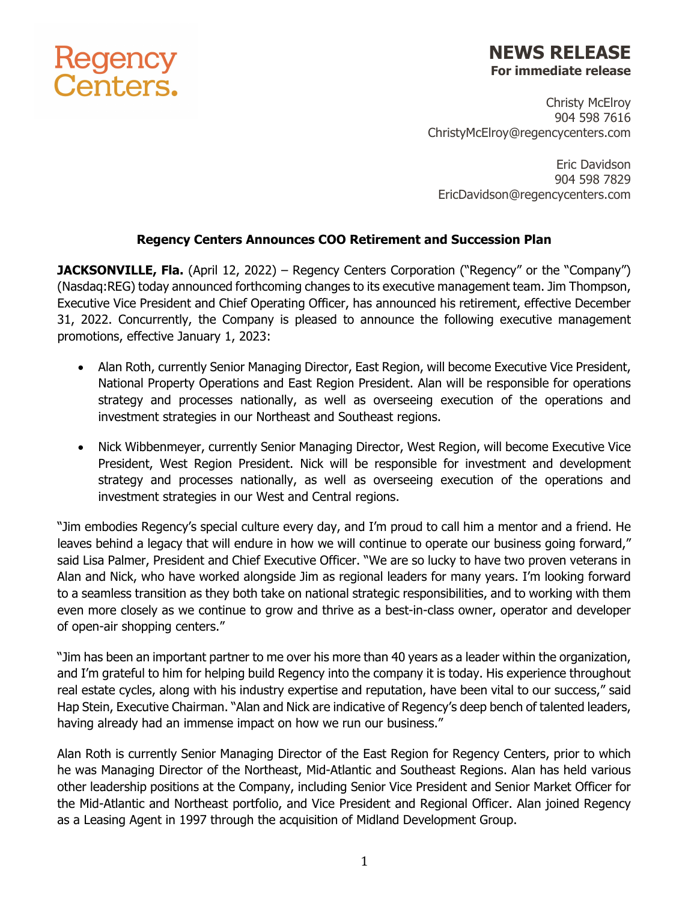## **Regency<br>Centers.**

## **NEWS RELEASE For immediate release**

Christy McElroy 904 598 7616 ChristyMcElroy@regencycenters.com

Eric Davidson 904 598 7829 EricDavidson@regencycenters.com

## **Regency Centers Announces COO Retirement and Succession Plan**

**JACKSONVILLE, Fla.** (April 12, 2022) – Regency Centers Corporation ("Regency" or the "Company") (Nasdaq:REG) today announced forthcoming changes to its executive management team. Jim Thompson, Executive Vice President and Chief Operating Officer, has announced his retirement, effective December 31, 2022. Concurrently, the Company is pleased to announce the following executive management promotions, effective January 1, 2023:

- Alan Roth, currently Senior Managing Director, East Region, will become Executive Vice President, National Property Operations and East Region President. Alan will be responsible for operations strategy and processes nationally, as well as overseeing execution of the operations and investment strategies in our Northeast and Southeast regions.
- Nick Wibbenmeyer, currently Senior Managing Director, West Region, will become Executive Vice President, West Region President. Nick will be responsible for investment and development strategy and processes nationally, as well as overseeing execution of the operations and investment strategies in our West and Central regions.

"Jim embodies Regency's special culture every day, and I'm proud to call him a mentor and a friend. He leaves behind a legacy that will endure in how we will continue to operate our business going forward," said Lisa Palmer, President and Chief Executive Officer. "We are so lucky to have two proven veterans in Alan and Nick, who have worked alongside Jim as regional leaders for many years. I'm looking forward to a seamless transition as they both take on national strategic responsibilities, and to working with them even more closely as we continue to grow and thrive as a best-in-class owner, operator and developer of open-air shopping centers."

"Jim has been an important partner to me over his more than 40 years as a leader within the organization, and I'm grateful to him for helping build Regency into the company it is today. His experience throughout real estate cycles, along with his industry expertise and reputation, have been vital to our success," said Hap Stein, Executive Chairman. "Alan and Nick are indicative of Regency's deep bench of talented leaders, having already had an immense impact on how we run our business."

Alan Roth is currently Senior Managing Director of the East Region for Regency Centers, prior to which he was Managing Director of the Northeast, Mid-Atlantic and Southeast Regions. Alan has held various other leadership positions at the Company, including Senior Vice President and Senior Market Officer for the Mid-Atlantic and Northeast portfolio, and Vice President and Regional Officer. Alan joined Regency as a Leasing Agent in 1997 through the acquisition of Midland Development Group.